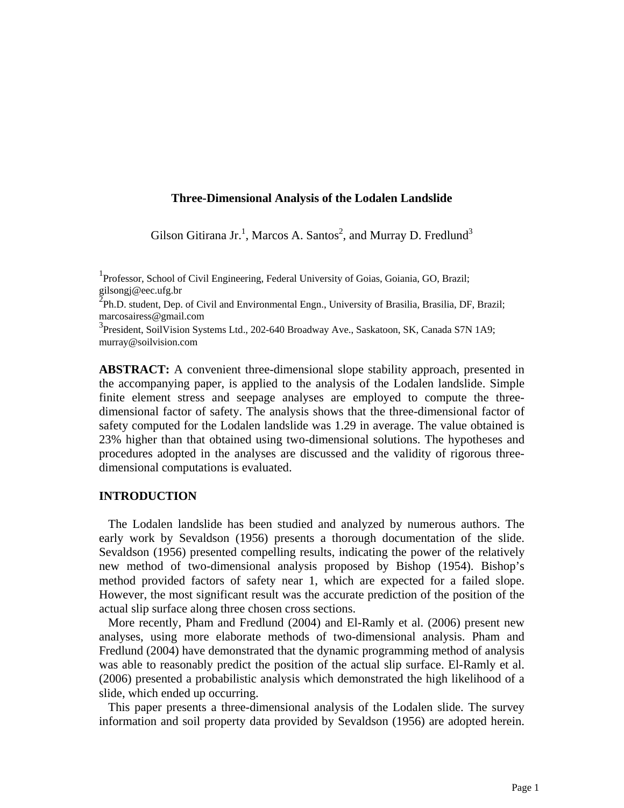### **Three-Dimensional Analysis of the Lodalen Landslide**

Gilson Gitirana Jr.<sup>1</sup>, Marcos A. Santos<sup>2</sup>, and Murray D. Fredlund<sup>3</sup>

<sup>1</sup> Professor, School of Civil Engineering, Federal University of Goias, Goiania, GO, Brazil; gilsongj@eec.ufg.br

 $\overline{2}$ Ph.D. student, Dep. of Civil and Environmental Engn., University of Brasilia, Brasilia, DF, Brazil; marcosairess@gmail.com

<sup>3</sup> President, SoilVision Systems Ltd., 202-640 Broadway Ave., Saskatoon, SK, Canada S7N 1A9; murray@soilvision.com

**ABSTRACT:** A convenient three-dimensional slope stability approach, presented in the accompanying paper, is applied to the analysis of the Lodalen landslide. Simple finite element stress and seepage analyses are employed to compute the threedimensional factor of safety. The analysis shows that the three-dimensional factor of safety computed for the Lodalen landslide was 1.29 in average. The value obtained is 23% higher than that obtained using two-dimensional solutions. The hypotheses and procedures adopted in the analyses are discussed and the validity of rigorous threedimensional computations is evaluated.

### **INTRODUCTION**

 The Lodalen landslide has been studied and analyzed by numerous authors. The early work by Sevaldson (1956) presents a thorough documentation of the slide. Sevaldson (1956) presented compelling results, indicating the power of the relatively new method of two-dimensional analysis proposed by Bishop (1954). Bishop's method provided factors of safety near 1, which are expected for a failed slope. However, the most significant result was the accurate prediction of the position of the actual slip surface along three chosen cross sections.

 More recently, Pham and Fredlund (2004) and El-Ramly et al. (2006) present new analyses, using more elaborate methods of two-dimensional analysis. Pham and Fredlund (2004) have demonstrated that the dynamic programming method of analysis was able to reasonably predict the position of the actual slip surface. El-Ramly et al. (2006) presented a probabilistic analysis which demonstrated the high likelihood of a slide, which ended up occurring.

 This paper presents a three-dimensional analysis of the Lodalen slide. The survey information and soil property data provided by Sevaldson (1956) are adopted herein.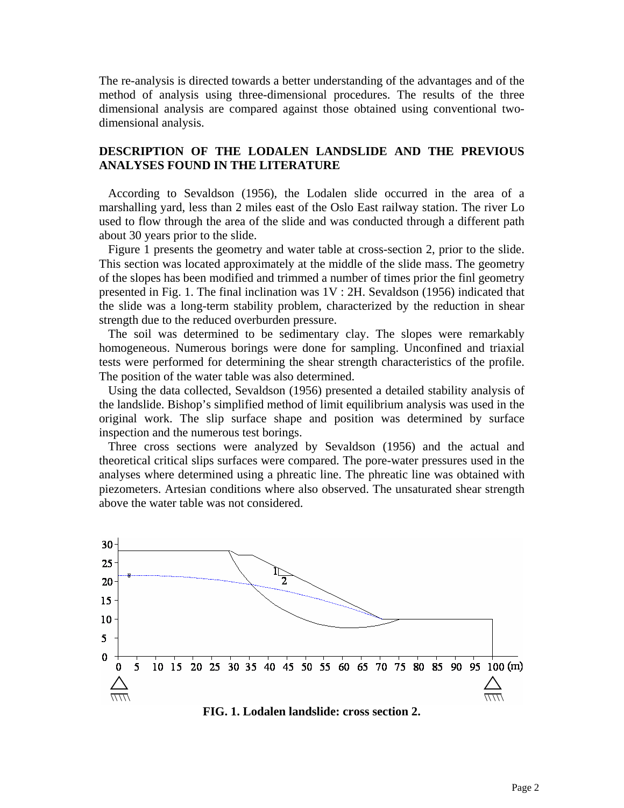The re-analysis is directed towards a better understanding of the advantages and of the method of analysis using three-dimensional procedures. The results of the three dimensional analysis are compared against those obtained using conventional twodimensional analysis.

# **DESCRIPTION OF THE LODALEN LANDSLIDE AND THE PREVIOUS ANALYSES FOUND IN THE LITERATURE**

 According to Sevaldson (1956), the Lodalen slide occurred in the area of a marshalling yard, less than 2 miles east of the Oslo East railway station. The river Lo used to flow through the area of the slide and was conducted through a different path about 30 years prior to the slide.

 Figure 1 presents the geometry and water table at cross-section 2, prior to the slide. This section was located approximately at the middle of the slide mass. The geometry of the slopes has been modified and trimmed a number of times prior the finl geometry presented in Fig. 1. The final inclination was 1V : 2H. Sevaldson (1956) indicated that the slide was a long-term stability problem, characterized by the reduction in shear strength due to the reduced overburden pressure.

 The soil was determined to be sedimentary clay. The slopes were remarkably homogeneous. Numerous borings were done for sampling. Unconfined and triaxial tests were performed for determining the shear strength characteristics of the profile. The position of the water table was also determined.

 Using the data collected, Sevaldson (1956) presented a detailed stability analysis of the landslide. Bishop's simplified method of limit equilibrium analysis was used in the original work. The slip surface shape and position was determined by surface inspection and the numerous test borings.

 Three cross sections were analyzed by Sevaldson (1956) and the actual and theoretical critical slips surfaces were compared. The pore-water pressures used in the analyses where determined using a phreatic line. The phreatic line was obtained with piezometers. Artesian conditions where also observed. The unsaturated shear strength above the water table was not considered.



**FIG. 1. Lodalen landslide: cross section 2.**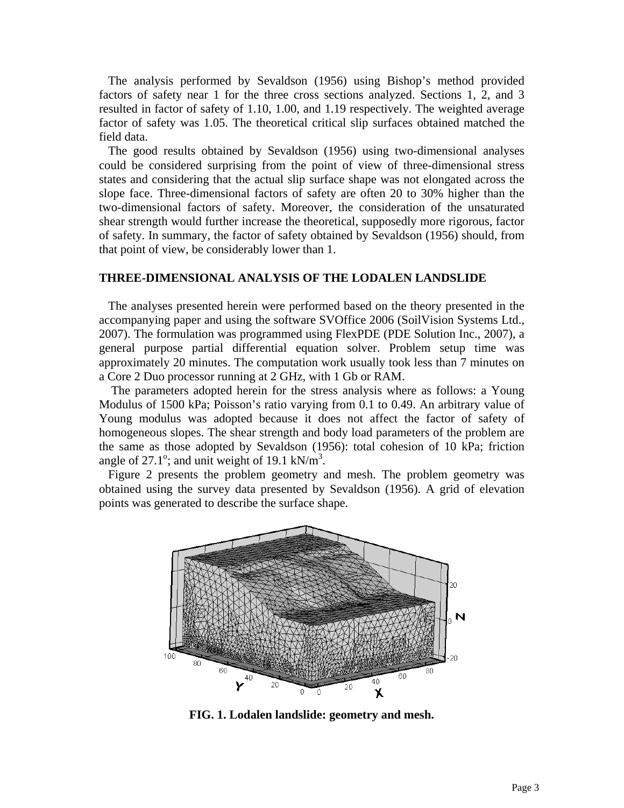The analysis performed by Sevaldson (1956) using Bishop's method provided factors of safety near 1 for the three cross sections analyzed. Sections 1, 2, and 3 resulted in factor of safety of 1.10, 1.00, and 1.19 respectively. The weighted average factor of safety was 1.05. The theoretical critical slip surfaces obtained matched the field data.

 The good results obtained by Sevaldson (1956) using two-dimensional analyses could be considered surprising from the point of view of three-dimensional stress states and considering that the actual slip surface shape was not elongated across the slope face. Three-dimensional factors of safety are often 20 to 30% higher than the two-dimensional factors of safety. Moreover, the consideration of the unsaturated shear strength would further increase the theoretical, supposedly more rigorous, factor of safety. In summary, the factor of safety obtained by Sevaldson (1956) should, from that point of view, be considerably lower than 1.

#### **THREE-DIMENSIONAL ANALYSIS OF THE LODALEN LANDSLIDE**

 The analyses presented herein were performed based on the theory presented in the accompanying paper and using the software SVOffice 2006 (SoilVision Systems Ltd., 2007). The formulation was programmed using FlexPDE (PDE Solution Inc., 2007), a general purpose partial differential equation solver. Problem setup time was approximately 20 minutes. The computation work usually took less than 7 minutes on a Core 2 Duo processor running at 2 GHz, with 1 Gb or RAM.

 The parameters adopted herein for the stress analysis where as follows: a Young Modulus of 1500 kPa; Poisson's ratio varying from 0.1 to 0.49. An arbitrary value of Young modulus was adopted because it does not affect the factor of safety of homogeneous slopes. The shear strength and body load parameters of the problem are the same as those adopted by Sevaldson (1956): total cohesion of 10 kPa; friction angle of 27.1°; and unit weight of 19.1 kN/ $m<sup>3</sup>$ .

 Figure 2 presents the problem geometry and mesh. The problem geometry was obtained using the survey data presented by Sevaldson (1956). A grid of elevation points was generated to describe the surface shape.



**FIG. 1. Lodalen landslide: geometry and mesh.**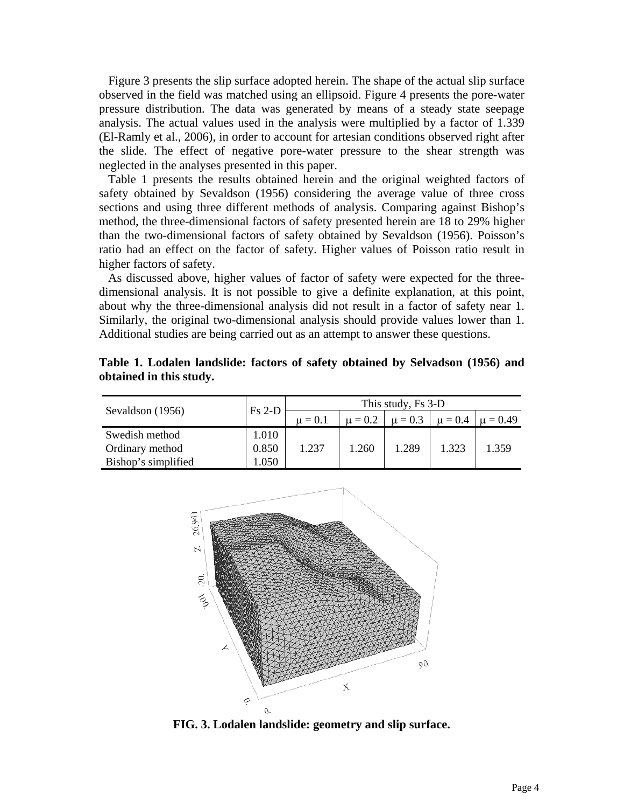Figure 3 presents the slip surface adopted herein. The shape of the actual slip surface observed in the field was matched using an ellipsoid. Figure 4 presents the pore-water pressure distribution. The data was generated by means of a steady state seepage analysis. The actual values used in the analysis were multiplied by a factor of 1.339 (El-Ramly et al., 2006), in order to account for artesian conditions observed right after the slide. The effect of negative pore-water pressure to the shear strength was neglected in the analyses presented in this paper.

 Table 1 presents the results obtained herein and the original weighted factors of safety obtained by Sevaldson (1956) considering the average value of three cross sections and using three different methods of analysis. Comparing against Bishop's method, the three-dimensional factors of safety presented herein are 18 to 29% higher than the two-dimensional factors of safety obtained by Sevaldson (1956). Poisson's ratio had an effect on the factor of safety. Higher values of Poisson ratio result in higher factors of safety.

 As discussed above, higher values of factor of safety were expected for the threedimensional analysis. It is not possible to give a definite explanation, at this point, about why the three-dimensional analysis did not result in a factor of safety near 1. Similarly, the original two-dimensional analysis should provide values lower than 1. Additional studies are being carried out as an attempt to answer these questions.

| Sevaldson (1956)    | $Fs 2-D$ | This study, Fs 3-D |             |             |       |                          |
|---------------------|----------|--------------------|-------------|-------------|-------|--------------------------|
|                     |          | $\mu = 0.1$        | $\mu = 0.2$ | $\mu = 0.3$ |       | $\mu = 0.4$ $\mu = 0.49$ |
| Swedish method      | 1.010    |                    |             |             |       |                          |
| Ordinary method     | 0.850    | 1.237              | l.260       | 1.289       | 1.323 | 1.359                    |
| Bishop's simplified | .050     |                    |             |             |       |                          |

**Table 1. Lodalen landslide: factors of safety obtained by Selvadson (1956) and obtained in this study.** 



**FIG. 3. Lodalen landslide: geometry and slip surface.**